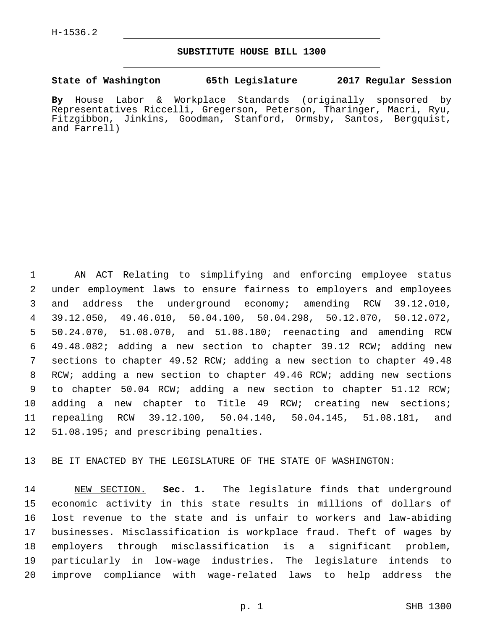### **SUBSTITUTE HOUSE BILL 1300**

#### **State of Washington 65th Legislature 2017 Regular Session**

**By** House Labor & Workplace Standards (originally sponsored by Representatives Riccelli, Gregerson, Peterson, Tharinger, Macri, Ryu, Fitzgibbon, Jinkins, Goodman, Stanford, Ormsby, Santos, Bergquist, and Farrell)

 AN ACT Relating to simplifying and enforcing employee status under employment laws to ensure fairness to employers and employees and address the underground economy; amending RCW 39.12.010, 39.12.050, 49.46.010, 50.04.100, 50.04.298, 50.12.070, 50.12.072, 50.24.070, 51.08.070, and 51.08.180; reenacting and amending RCW 49.48.082; adding a new section to chapter 39.12 RCW; adding new sections to chapter 49.52 RCW; adding a new section to chapter 49.48 RCW; adding a new section to chapter 49.46 RCW; adding new sections to chapter 50.04 RCW; adding a new section to chapter 51.12 RCW; adding a new chapter to Title 49 RCW; creating new sections; repealing RCW 39.12.100, 50.04.140, 50.04.145, 51.08.181, and 12 51.08.195; and prescribing penalties.

BE IT ENACTED BY THE LEGISLATURE OF THE STATE OF WASHINGTON:

 NEW SECTION. **Sec. 1.** The legislature finds that underground economic activity in this state results in millions of dollars of lost revenue to the state and is unfair to workers and law-abiding businesses. Misclassification is workplace fraud. Theft of wages by employers through misclassification is a significant problem, particularly in low-wage industries. The legislature intends to improve compliance with wage-related laws to help address the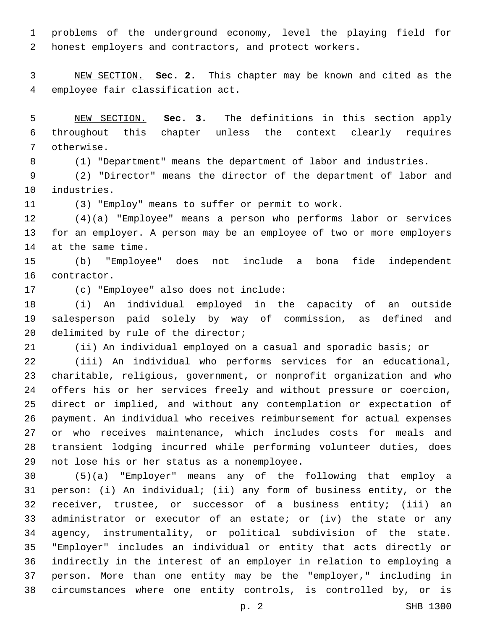problems of the underground economy, level the playing field for honest employers and contractors, and protect workers.

 NEW SECTION. **Sec. 2.** This chapter may be known and cited as the employee fair classification act.

 NEW SECTION. **Sec. 3.** The definitions in this section apply throughout this chapter unless the context clearly requires otherwise.

(1) "Department" means the department of labor and industries.

 (2) "Director" means the director of the department of labor and 10 industries.

(3) "Employ" means to suffer or permit to work.

 (4)(a) "Employee" means a person who performs labor or services for an employer. A person may be an employee of two or more employers 14 at the same time.

 (b) "Employee" does not include a bona fide independent 16 contractor.

17 (c) "Employee" also does not include:

 (i) An individual employed in the capacity of an outside salesperson paid solely by way of commission, as defined and 20 delimited by rule of the director;

(ii) An individual employed on a casual and sporadic basis; or

 (iii) An individual who performs services for an educational, charitable, religious, government, or nonprofit organization and who offers his or her services freely and without pressure or coercion, direct or implied, and without any contemplation or expectation of payment. An individual who receives reimbursement for actual expenses or who receives maintenance, which includes costs for meals and transient lodging incurred while performing volunteer duties, does 29 not lose his or her status as a nonemployee.

 (5)(a) "Employer" means any of the following that employ a person: (i) An individual; (ii) any form of business entity, or the receiver, trustee, or successor of a business entity; (iii) an administrator or executor of an estate; or (iv) the state or any agency, instrumentality, or political subdivision of the state. "Employer" includes an individual or entity that acts directly or indirectly in the interest of an employer in relation to employing a person. More than one entity may be the "employer," including in circumstances where one entity controls, is controlled by, or is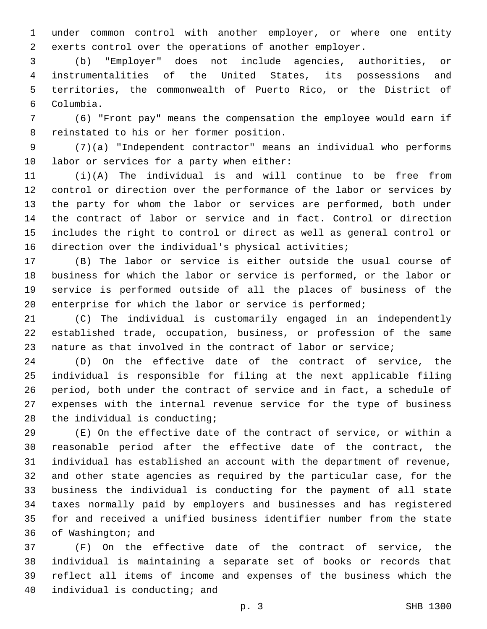under common control with another employer, or where one entity exerts control over the operations of another employer.

 (b) "Employer" does not include agencies, authorities, or instrumentalities of the United States, its possessions and territories, the commonwealth of Puerto Rico, or the District of Columbia.6

 (6) "Front pay" means the compensation the employee would earn if 8 reinstated to his or her former position.

 (7)(a) "Independent contractor" means an individual who performs 10 labor or services for a party when either:

 (i)(A) The individual is and will continue to be free from control or direction over the performance of the labor or services by the party for whom the labor or services are performed, both under the contract of labor or service and in fact. Control or direction includes the right to control or direct as well as general control or direction over the individual's physical activities;

 (B) The labor or service is either outside the usual course of business for which the labor or service is performed, or the labor or service is performed outside of all the places of business of the 20 enterprise for which the labor or service is performed;

 (C) The individual is customarily engaged in an independently established trade, occupation, business, or profession of the same nature as that involved in the contract of labor or service;

 (D) On the effective date of the contract of service, the individual is responsible for filing at the next applicable filing period, both under the contract of service and in fact, a schedule of expenses with the internal revenue service for the type of business 28 the individual is conducting;

 (E) On the effective date of the contract of service, or within a reasonable period after the effective date of the contract, the individual has established an account with the department of revenue, and other state agencies as required by the particular case, for the business the individual is conducting for the payment of all state taxes normally paid by employers and businesses and has registered for and received a unified business identifier number from the state 36 of Washington; and

 (F) On the effective date of the contract of service, the individual is maintaining a separate set of books or records that reflect all items of income and expenses of the business which the 40 individual is conducting; and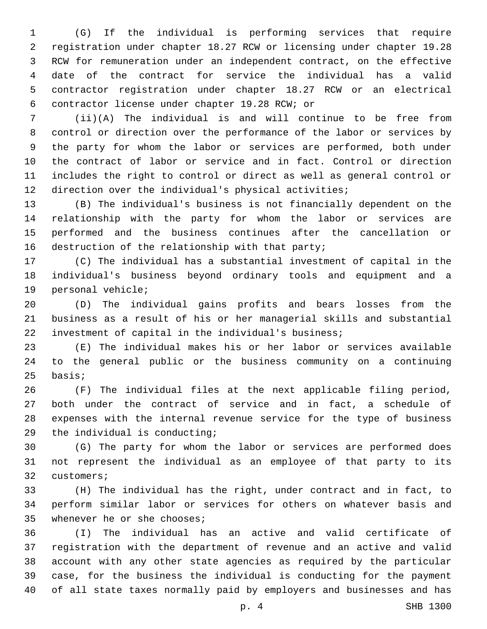(G) If the individual is performing services that require registration under chapter 18.27 RCW or licensing under chapter 19.28 RCW for remuneration under an independent contract, on the effective date of the contract for service the individual has a valid contractor registration under chapter 18.27 RCW or an electrical contractor license under chapter 19.28 RCW; or6

 (ii)(A) The individual is and will continue to be free from control or direction over the performance of the labor or services by the party for whom the labor or services are performed, both under the contract of labor or service and in fact. Control or direction includes the right to control or direct as well as general control or direction over the individual's physical activities;

 (B) The individual's business is not financially dependent on the relationship with the party for whom the labor or services are performed and the business continues after the cancellation or 16 destruction of the relationship with that party;

 (C) The individual has a substantial investment of capital in the individual's business beyond ordinary tools and equipment and a 19 personal vehicle;

 (D) The individual gains profits and bears losses from the business as a result of his or her managerial skills and substantial investment of capital in the individual's business;

 (E) The individual makes his or her labor or services available to the general public or the business community on a continuing basis;

 (F) The individual files at the next applicable filing period, both under the contract of service and in fact, a schedule of expenses with the internal revenue service for the type of business 29 the individual is conducting;

 (G) The party for whom the labor or services are performed does not represent the individual as an employee of that party to its 32 customers;

 (H) The individual has the right, under contract and in fact, to perform similar labor or services for others on whatever basis and 35 whenever he or she chooses;

 (I) The individual has an active and valid certificate of registration with the department of revenue and an active and valid account with any other state agencies as required by the particular case, for the business the individual is conducting for the payment of all state taxes normally paid by employers and businesses and has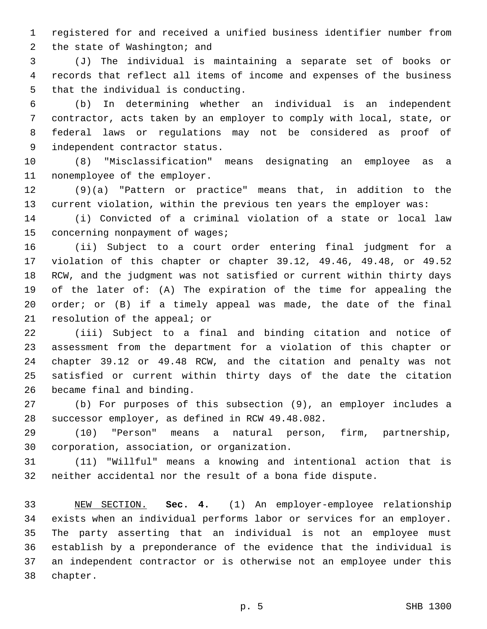registered for and received a unified business identifier number from 2 the state of Washington; and

 (J) The individual is maintaining a separate set of books or records that reflect all items of income and expenses of the business 5 that the individual is conducting.

 (b) In determining whether an individual is an independent contractor, acts taken by an employer to comply with local, state, or federal laws or regulations may not be considered as proof of 9 independent contractor status.

 (8) "Misclassification" means designating an employee as a 11 nonemployee of the employer.

 (9)(a) "Pattern or practice" means that, in addition to the current violation, within the previous ten years the employer was:

 (i) Convicted of a criminal violation of a state or local law 15 concerning nonpayment of wages;

 (ii) Subject to a court order entering final judgment for a violation of this chapter or chapter 39.12, 49.46, 49.48, or 49.52 RCW, and the judgment was not satisfied or current within thirty days of the later of: (A) The expiration of the time for appealing the order; or (B) if a timely appeal was made, the date of the final 21 resolution of the appeal; or

 (iii) Subject to a final and binding citation and notice of assessment from the department for a violation of this chapter or chapter 39.12 or 49.48 RCW, and the citation and penalty was not satisfied or current within thirty days of the date the citation 26 became final and binding.

 (b) For purposes of this subsection (9), an employer includes a 28 successor employer, as defined in RCW 49.48.082.

 (10) "Person" means a natural person, firm, partnership, 30 corporation, association, or organization.

 (11) "Willful" means a knowing and intentional action that is neither accidental nor the result of a bona fide dispute.

 NEW SECTION. **Sec. 4.** (1) An employer-employee relationship exists when an individual performs labor or services for an employer. The party asserting that an individual is not an employee must establish by a preponderance of the evidence that the individual is an independent contractor or is otherwise not an employee under this chapter.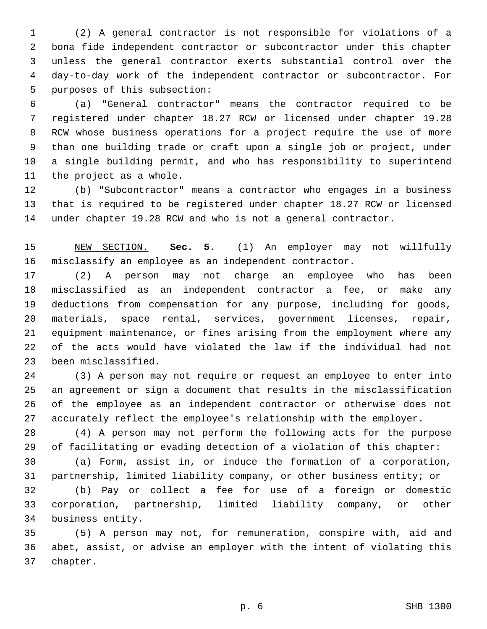(2) A general contractor is not responsible for violations of a bona fide independent contractor or subcontractor under this chapter unless the general contractor exerts substantial control over the day-to-day work of the independent contractor or subcontractor. For 5 purposes of this subsection:

 (a) "General contractor" means the contractor required to be registered under chapter 18.27 RCW or licensed under chapter 19.28 RCW whose business operations for a project require the use of more than one building trade or craft upon a single job or project, under a single building permit, and who has responsibility to superintend 11 the project as a whole.

 (b) "Subcontractor" means a contractor who engages in a business that is required to be registered under chapter 18.27 RCW or licensed under chapter 19.28 RCW and who is not a general contractor.

 NEW SECTION. **Sec. 5.** (1) An employer may not willfully misclassify an employee as an independent contractor.

 (2) A person may not charge an employee who has been misclassified as an independent contractor a fee, or make any deductions from compensation for any purpose, including for goods, materials, space rental, services, government licenses, repair, equipment maintenance, or fines arising from the employment where any of the acts would have violated the law if the individual had not 23 been misclassified.

 (3) A person may not require or request an employee to enter into an agreement or sign a document that results in the misclassification of the employee as an independent contractor or otherwise does not accurately reflect the employee's relationship with the employer.

 (4) A person may not perform the following acts for the purpose of facilitating or evading detection of a violation of this chapter:

 (a) Form, assist in, or induce the formation of a corporation, partnership, limited liability company, or other business entity; or

 (b) Pay or collect a fee for use of a foreign or domestic corporation, partnership, limited liability company, or other 34 business entity.

 (5) A person may not, for remuneration, conspire with, aid and abet, assist, or advise an employer with the intent of violating this 37 chapter.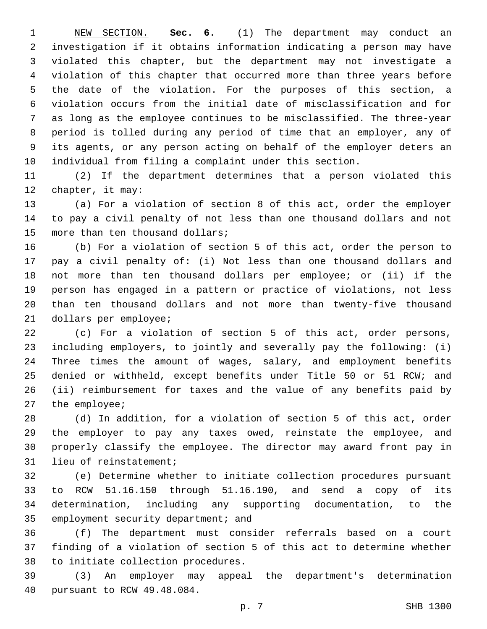NEW SECTION. **Sec. 6.** (1) The department may conduct an investigation if it obtains information indicating a person may have violated this chapter, but the department may not investigate a violation of this chapter that occurred more than three years before the date of the violation. For the purposes of this section, a violation occurs from the initial date of misclassification and for as long as the employee continues to be misclassified. The three-year period is tolled during any period of time that an employer, any of its agents, or any person acting on behalf of the employer deters an individual from filing a complaint under this section.

 (2) If the department determines that a person violated this 12 chapter, it may:

 (a) For a violation of section 8 of this act, order the employer to pay a civil penalty of not less than one thousand dollars and not 15 more than ten thousand dollars;

 (b) For a violation of section 5 of this act, order the person to pay a civil penalty of: (i) Not less than one thousand dollars and not more than ten thousand dollars per employee; or (ii) if the person has engaged in a pattern or practice of violations, not less than ten thousand dollars and not more than twenty-five thousand 21 dollars per employee;

 (c) For a violation of section 5 of this act, order persons, including employers, to jointly and severally pay the following: (i) Three times the amount of wages, salary, and employment benefits denied or withheld, except benefits under Title 50 or 51 RCW; and (ii) reimbursement for taxes and the value of any benefits paid by 27 the employee;

 (d) In addition, for a violation of section 5 of this act, order the employer to pay any taxes owed, reinstate the employee, and properly classify the employee. The director may award front pay in 31 lieu of reinstatement;

 (e) Determine whether to initiate collection procedures pursuant to RCW 51.16.150 through 51.16.190, and send a copy of its determination, including any supporting documentation, to the 35 employment security department; and

 (f) The department must consider referrals based on a court finding of a violation of section 5 of this act to determine whether 38 to initiate collection procedures.

 (3) An employer may appeal the department's determination 40 pursuant to RCW 49.48.084.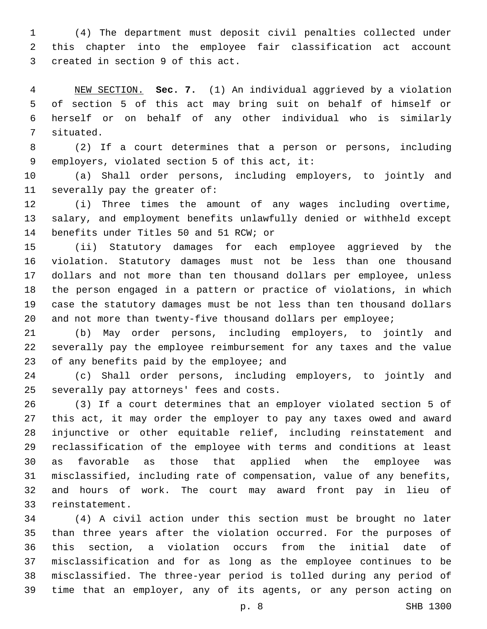(4) The department must deposit civil penalties collected under this chapter into the employee fair classification act account 3 created in section 9 of this act.

 NEW SECTION. **Sec. 7.** (1) An individual aggrieved by a violation of section 5 of this act may bring suit on behalf of himself or herself or on behalf of any other individual who is similarly situated.

 (2) If a court determines that a person or persons, including 9 employers, violated section 5 of this act, it:

 (a) Shall order persons, including employers, to jointly and 11 severally pay the greater of:

 (i) Three times the amount of any wages including overtime, salary, and employment benefits unlawfully denied or withheld except 14 benefits under Titles 50 and 51 RCW; or

 (ii) Statutory damages for each employee aggrieved by the violation. Statutory damages must not be less than one thousand dollars and not more than ten thousand dollars per employee, unless the person engaged in a pattern or practice of violations, in which case the statutory damages must be not less than ten thousand dollars and not more than twenty-five thousand dollars per employee;

 (b) May order persons, including employers, to jointly and severally pay the employee reimbursement for any taxes and the value 23 of any benefits paid by the employee; and

 (c) Shall order persons, including employers, to jointly and 25 severally pay attorneys' fees and costs.

 (3) If a court determines that an employer violated section 5 of this act, it may order the employer to pay any taxes owed and award injunctive or other equitable relief, including reinstatement and reclassification of the employee with terms and conditions at least as favorable as those that applied when the employee was misclassified, including rate of compensation, value of any benefits, and hours of work. The court may award front pay in lieu of 33 reinstatement.

 (4) A civil action under this section must be brought no later than three years after the violation occurred. For the purposes of this section, a violation occurs from the initial date of misclassification and for as long as the employee continues to be misclassified. The three-year period is tolled during any period of time that an employer, any of its agents, or any person acting on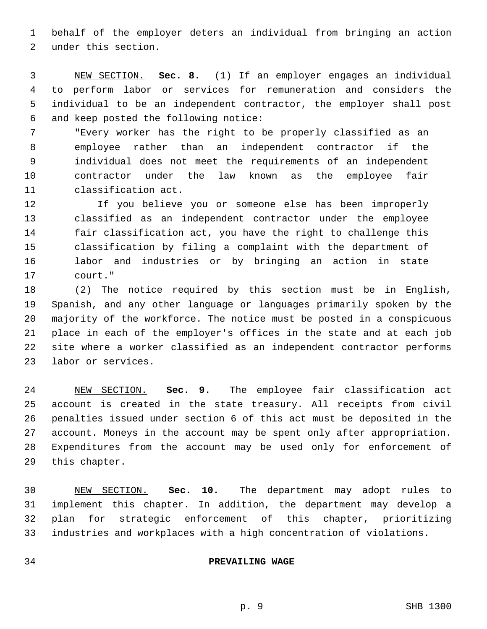behalf of the employer deters an individual from bringing an action 2 under this section.

 NEW SECTION. **Sec. 8.** (1) If an employer engages an individual to perform labor or services for remuneration and considers the individual to be an independent contractor, the employer shall post and keep posted the following notice:

 "Every worker has the right to be properly classified as an employee rather than an independent contractor if the individual does not meet the requirements of an independent contractor under the law known as the employee fair 11 classification act.

 If you believe you or someone else has been improperly classified as an independent contractor under the employee fair classification act, you have the right to challenge this classification by filing a complaint with the department of labor and industries or by bringing an action in state 17 court."

 (2) The notice required by this section must be in English, Spanish, and any other language or languages primarily spoken by the majority of the workforce. The notice must be posted in a conspicuous place in each of the employer's offices in the state and at each job site where a worker classified as an independent contractor performs 23 labor or services.

 NEW SECTION. **Sec. 9.** The employee fair classification act account is created in the state treasury. All receipts from civil penalties issued under section 6 of this act must be deposited in the account. Moneys in the account may be spent only after appropriation. Expenditures from the account may be used only for enforcement of this chapter.

 NEW SECTION. **Sec. 10.** The department may adopt rules to implement this chapter. In addition, the department may develop a plan for strategic enforcement of this chapter, prioritizing industries and workplaces with a high concentration of violations.

#### **PREVAILING WAGE**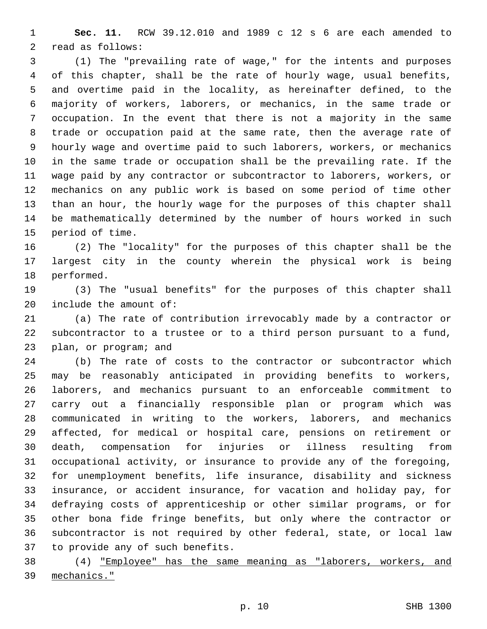**Sec. 11.** RCW 39.12.010 and 1989 c 12 s 6 are each amended to 2 read as follows:

 (1) The "prevailing rate of wage," for the intents and purposes of this chapter, shall be the rate of hourly wage, usual benefits, and overtime paid in the locality, as hereinafter defined, to the majority of workers, laborers, or mechanics, in the same trade or occupation. In the event that there is not a majority in the same trade or occupation paid at the same rate, then the average rate of hourly wage and overtime paid to such laborers, workers, or mechanics in the same trade or occupation shall be the prevailing rate. If the wage paid by any contractor or subcontractor to laborers, workers, or mechanics on any public work is based on some period of time other than an hour, the hourly wage for the purposes of this chapter shall be mathematically determined by the number of hours worked in such 15 period of time.

 (2) The "locality" for the purposes of this chapter shall be the largest city in the county wherein the physical work is being 18 performed.

 (3) The "usual benefits" for the purposes of this chapter shall include the amount of:

 (a) The rate of contribution irrevocably made by a contractor or subcontractor to a trustee or to a third person pursuant to a fund, 23 plan, or program; and

 (b) The rate of costs to the contractor or subcontractor which may be reasonably anticipated in providing benefits to workers, laborers, and mechanics pursuant to an enforceable commitment to carry out a financially responsible plan or program which was communicated in writing to the workers, laborers, and mechanics affected, for medical or hospital care, pensions on retirement or death, compensation for injuries or illness resulting from occupational activity, or insurance to provide any of the foregoing, for unemployment benefits, life insurance, disability and sickness insurance, or accident insurance, for vacation and holiday pay, for defraying costs of apprenticeship or other similar programs, or for other bona fide fringe benefits, but only where the contractor or subcontractor is not required by other federal, state, or local law 37 to provide any of such benefits.

 (4) "Employee" has the same meaning as "laborers, workers, and mechanics."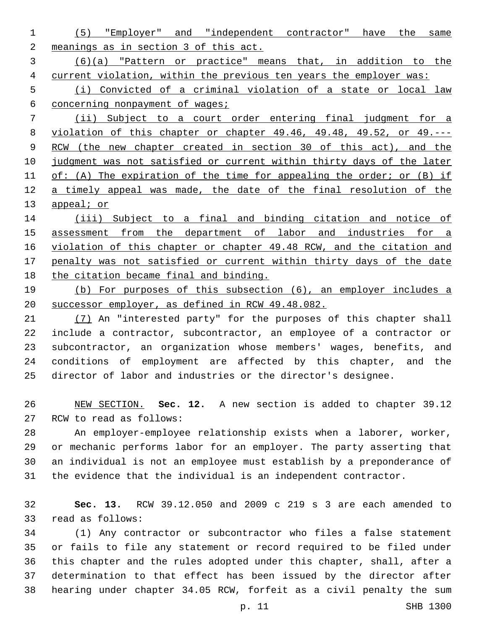(5) "Employer" and "independent contractor" have the same meanings as in section 3 of this act. (6)(a) "Pattern or practice" means that, in addition to the current violation, within the previous ten years the employer was: (i) Convicted of a criminal violation of a state or local law concerning nonpayment of wages; (ii) Subject to a court order entering final judgment for a violation of this chapter or chapter 49.46, 49.48, 49.52, or 49.--- RCW (the new chapter created in section 30 of this act), and the judgment was not satisfied or current within thirty days of the later 11 of: (A) The expiration of the time for appealing the order; or (B) if 12 a timely appeal was made, the date of the final resolution of the 13 appeal; or (iii) Subject to a final and binding citation and notice of

 assessment from the department of labor and industries for a violation of this chapter or chapter 49.48 RCW, and the citation and penalty was not satisfied or current within thirty days of the date the citation became final and binding.

 (b) For purposes of this subsection (6), an employer includes a successor employer, as defined in RCW 49.48.082.

 (7) An "interested party" for the purposes of this chapter shall include a contractor, subcontractor, an employee of a contractor or subcontractor, an organization whose members' wages, benefits, and conditions of employment are affected by this chapter, and the director of labor and industries or the director's designee.

 NEW SECTION. **Sec. 12.** A new section is added to chapter 39.12 27 RCW to read as follows:

 An employer-employee relationship exists when a laborer, worker, or mechanic performs labor for an employer. The party asserting that an individual is not an employee must establish by a preponderance of the evidence that the individual is an independent contractor.

 **Sec. 13.** RCW 39.12.050 and 2009 c 219 s 3 are each amended to 33 read as follows:

 (1) Any contractor or subcontractor who files a false statement or fails to file any statement or record required to be filed under this chapter and the rules adopted under this chapter, shall, after a determination to that effect has been issued by the director after hearing under chapter 34.05 RCW, forfeit as a civil penalty the sum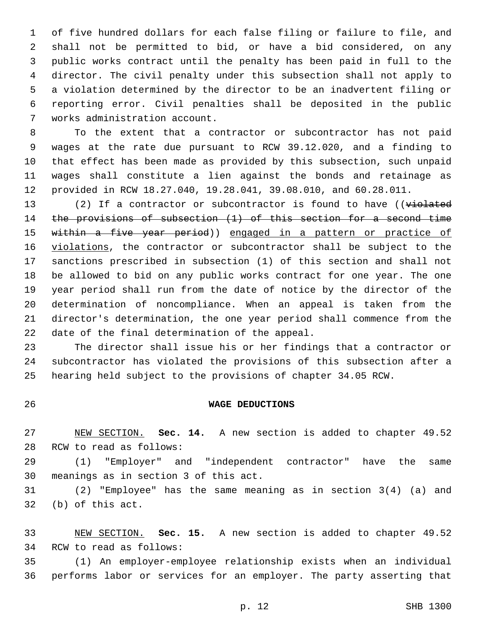of five hundred dollars for each false filing or failure to file, and shall not be permitted to bid, or have a bid considered, on any public works contract until the penalty has been paid in full to the director. The civil penalty under this subsection shall not apply to a violation determined by the director to be an inadvertent filing or reporting error. Civil penalties shall be deposited in the public 7 works administration account.

 To the extent that a contractor or subcontractor has not paid wages at the rate due pursuant to RCW 39.12.020, and a finding to that effect has been made as provided by this subsection, such unpaid wages shall constitute a lien against the bonds and retainage as provided in RCW 18.27.040, 19.28.041, 39.08.010, and 60.28.011.

13 (2) If a contractor or subcontractor is found to have ((violated the provisions of subsection (1) of this section for a second time within a five year period)) engaged in a pattern or practice of 16 violations, the contractor or subcontractor shall be subject to the sanctions prescribed in subsection (1) of this section and shall not be allowed to bid on any public works contract for one year. The one year period shall run from the date of notice by the director of the determination of noncompliance. When an appeal is taken from the director's determination, the one year period shall commence from the 22 date of the final determination of the appeal.

 The director shall issue his or her findings that a contractor or subcontractor has violated the provisions of this subsection after a hearing held subject to the provisions of chapter 34.05 RCW.

#### **WAGE DEDUCTIONS**

 NEW SECTION. **Sec. 14.** A new section is added to chapter 49.52 28 RCW to read as follows:

 (1) "Employer" and "independent contractor" have the same 30 meanings as in section 3 of this act.

 (2) "Employee" has the same meaning as in section 3(4) (a) and 32 (b) of this act.

 NEW SECTION. **Sec. 15.** A new section is added to chapter 49.52 34 RCW to read as follows:

 (1) An employer-employee relationship exists when an individual performs labor or services for an employer. The party asserting that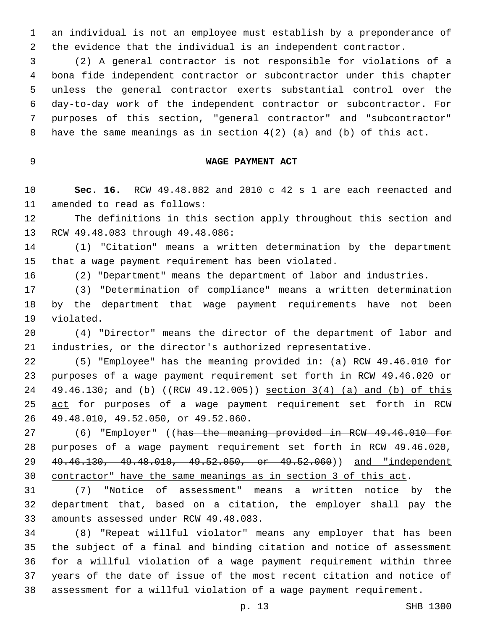an individual is not an employee must establish by a preponderance of the evidence that the individual is an independent contractor.

 (2) A general contractor is not responsible for violations of a bona fide independent contractor or subcontractor under this chapter unless the general contractor exerts substantial control over the day-to-day work of the independent contractor or subcontractor. For purposes of this section, "general contractor" and "subcontractor" have the same meanings as in section 4(2) (a) and (b) of this act.

## **WAGE PAYMENT ACT**

 **Sec. 16.** RCW 49.48.082 and 2010 c 42 s 1 are each reenacted and 11 amended to read as follows:

 The definitions in this section apply throughout this section and 13 RCW 49.48.083 through 49.48.086:

 (1) "Citation" means a written determination by the department that a wage payment requirement has been violated.

(2) "Department" means the department of labor and industries.

 (3) "Determination of compliance" means a written determination by the department that wage payment requirements have not been 19 violated.

 (4) "Director" means the director of the department of labor and industries, or the director's authorized representative.

 (5) "Employee" has the meaning provided in: (a) RCW 49.46.010 for purposes of a wage payment requirement set forth in RCW 49.46.020 or 24 49.46.130; and (b) ((RCW 49.12.005)) section 3(4) (a) and (b) of this 25 act for purposes of a wage payment requirement set forth in RCW 49.48.010, 49.52.050, or 49.52.060.26

27 (6) "Employer" ((has the meaning provided in RCW 49.46.010 for purposes of a wage payment requirement set forth in RCW 49.46.020, 49.46.130, 49.48.010, 49.52.050, or 49.52.060)) and "independent contractor" have the same meanings as in section 3 of this act.

 (7) "Notice of assessment" means a written notice by the department that, based on a citation, the employer shall pay the 33 amounts assessed under RCW 49.48.083.

 (8) "Repeat willful violator" means any employer that has been the subject of a final and binding citation and notice of assessment for a willful violation of a wage payment requirement within three years of the date of issue of the most recent citation and notice of assessment for a willful violation of a wage payment requirement.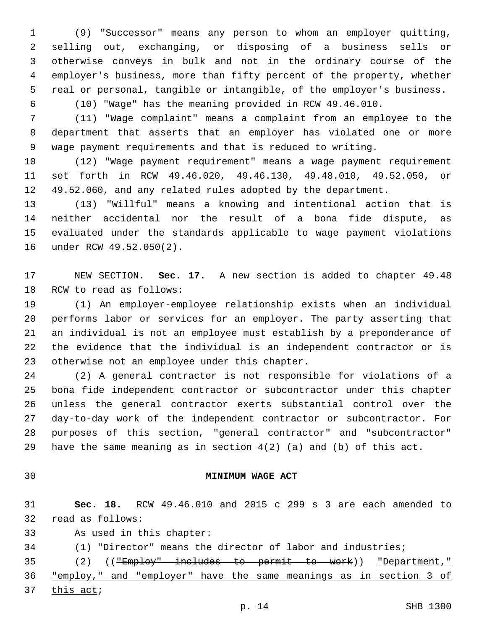(9) "Successor" means any person to whom an employer quitting, selling out, exchanging, or disposing of a business sells or otherwise conveys in bulk and not in the ordinary course of the employer's business, more than fifty percent of the property, whether real or personal, tangible or intangible, of the employer's business.

(10) "Wage" has the meaning provided in RCW 49.46.010.

 (11) "Wage complaint" means a complaint from an employee to the department that asserts that an employer has violated one or more wage payment requirements and that is reduced to writing.

 (12) "Wage payment requirement" means a wage payment requirement set forth in RCW 49.46.020, 49.46.130, 49.48.010, 49.52.050, or 49.52.060, and any related rules adopted by the department.

 (13) "Willful" means a knowing and intentional action that is neither accidental nor the result of a bona fide dispute, as evaluated under the standards applicable to wage payment violations 16 under RCW 49.52.050(2).

 NEW SECTION. **Sec. 17.** A new section is added to chapter 49.48 18 RCW to read as follows:

 (1) An employer-employee relationship exists when an individual performs labor or services for an employer. The party asserting that an individual is not an employee must establish by a preponderance of the evidence that the individual is an independent contractor or is 23 otherwise not an employee under this chapter.

 (2) A general contractor is not responsible for violations of a bona fide independent contractor or subcontractor under this chapter unless the general contractor exerts substantial control over the day-to-day work of the independent contractor or subcontractor. For purposes of this section, "general contractor" and "subcontractor" have the same meaning as in section 4(2) (a) and (b) of this act.

# **MINIMUM WAGE ACT**

 **Sec. 18.** RCW 49.46.010 and 2015 c 299 s 3 are each amended to 32 read as follows:

- 33 As used in this chapter:
- (1) "Director" means the director of labor and industries;

(2) (("Employ" includes to permit to work)) "Department,"

"employ," and "employer" have the same meanings as in section 3 of

this act;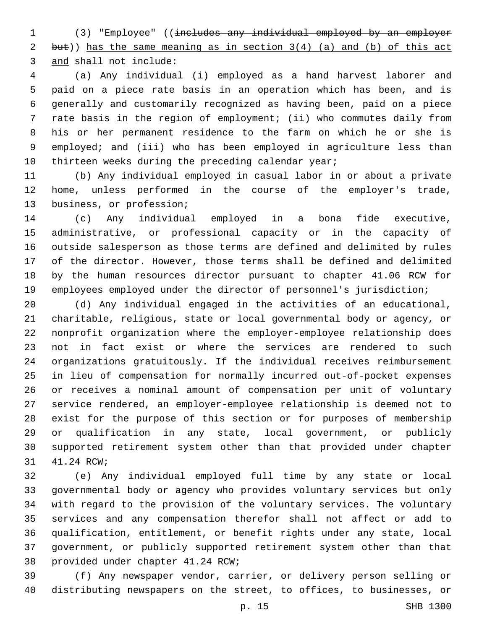(3) "Employee" ((includes any individual employed by an employer but)) has the same meaning as in section 3(4) (a) and (b) of this act 3 and shall not include:

 (a) Any individual (i) employed as a hand harvest laborer and paid on a piece rate basis in an operation which has been, and is generally and customarily recognized as having been, paid on a piece rate basis in the region of employment; (ii) who commutes daily from his or her permanent residence to the farm on which he or she is employed; and (iii) who has been employed in agriculture less than 10 thirteen weeks during the preceding calendar year;

 (b) Any individual employed in casual labor in or about a private home, unless performed in the course of the employer's trade, 13 business, or profession;

 (c) Any individual employed in a bona fide executive, administrative, or professional capacity or in the capacity of outside salesperson as those terms are defined and delimited by rules of the director. However, those terms shall be defined and delimited by the human resources director pursuant to chapter 41.06 RCW for employees employed under the director of personnel's jurisdiction;

 (d) Any individual engaged in the activities of an educational, charitable, religious, state or local governmental body or agency, or nonprofit organization where the employer-employee relationship does not in fact exist or where the services are rendered to such organizations gratuitously. If the individual receives reimbursement in lieu of compensation for normally incurred out-of-pocket expenses or receives a nominal amount of compensation per unit of voluntary service rendered, an employer-employee relationship is deemed not to exist for the purpose of this section or for purposes of membership or qualification in any state, local government, or publicly supported retirement system other than that provided under chapter 31 41.24 RCW;

 (e) Any individual employed full time by any state or local governmental body or agency who provides voluntary services but only with regard to the provision of the voluntary services. The voluntary services and any compensation therefor shall not affect or add to qualification, entitlement, or benefit rights under any state, local government, or publicly supported retirement system other than that 38 provided under chapter 41.24 RCW;

 (f) Any newspaper vendor, carrier, or delivery person selling or distributing newspapers on the street, to offices, to businesses, or

p. 15 SHB 1300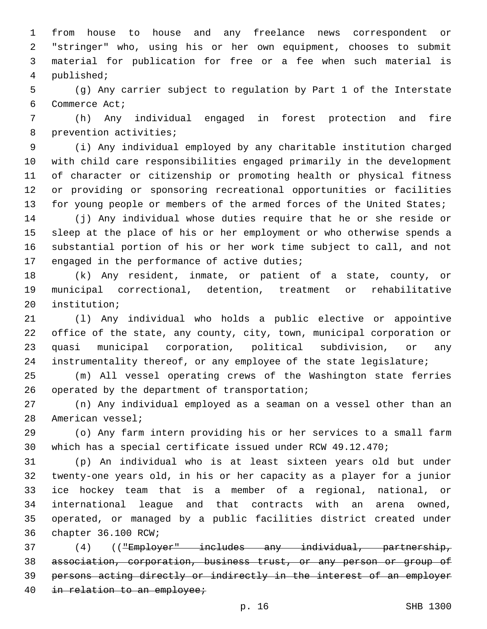from house to house and any freelance news correspondent or "stringer" who, using his or her own equipment, chooses to submit material for publication for free or a fee when such material is 4 published;

 (g) Any carrier subject to regulation by Part 1 of the Interstate 6 Commerce Act;

 (h) Any individual engaged in forest protection and fire 8 prevention activities;

 (i) Any individual employed by any charitable institution charged with child care responsibilities engaged primarily in the development of character or citizenship or promoting health or physical fitness or providing or sponsoring recreational opportunities or facilities 13 for young people or members of the armed forces of the United States;

 (j) Any individual whose duties require that he or she reside or sleep at the place of his or her employment or who otherwise spends a substantial portion of his or her work time subject to call, and not 17 engaged in the performance of active duties;

 (k) Any resident, inmate, or patient of a state, county, or municipal correctional, detention, treatment or rehabilitative 20 institution;

 (l) Any individual who holds a public elective or appointive office of the state, any county, city, town, municipal corporation or quasi municipal corporation, political subdivision, or any instrumentality thereof, or any employee of the state legislature;

 (m) All vessel operating crews of the Washington state ferries 26 operated by the department of transportation;

 (n) Any individual employed as a seaman on a vessel other than an 28 American vessel;

 (o) Any farm intern providing his or her services to a small farm which has a special certificate issued under RCW 49.12.470;

 (p) An individual who is at least sixteen years old but under twenty-one years old, in his or her capacity as a player for a junior ice hockey team that is a member of a regional, national, or international league and that contracts with an arena owned, operated, or managed by a public facilities district created under 36 chapter 36.100 RCW;

 (4) (("Employer" includes any individual, partnership, association, corporation, business trust, or any person or group of persons acting directly or indirectly in the interest of an employer 40 in relation to an employee;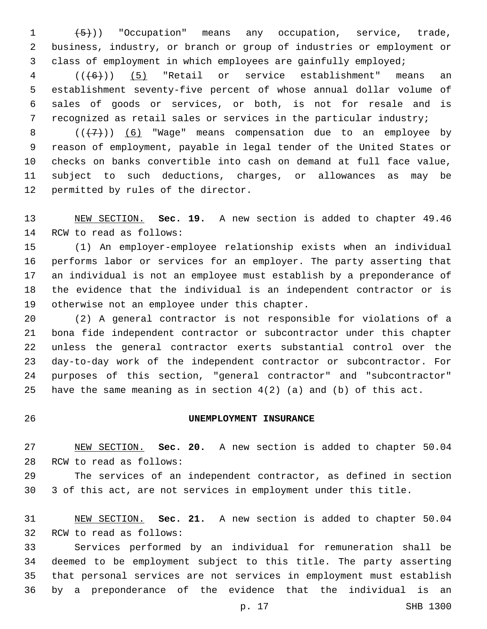$(1 +5)$ ) "Occupation" means any occupation, service, trade, business, industry, or branch or group of industries or employment or class of employment in which employees are gainfully employed;

 (( $(6)$ )) (5) "Retail or service establishment" means an establishment seventy-five percent of whose annual dollar volume of sales of goods or services, or both, is not for resale and is recognized as retail sales or services in the particular industry;

 $((+7)$ ) (6) "Wage" means compensation due to an employee by reason of employment, payable in legal tender of the United States or checks on banks convertible into cash on demand at full face value, subject to such deductions, charges, or allowances as may be 12 permitted by rules of the director.

 NEW SECTION. **Sec. 19.** A new section is added to chapter 49.46 14 RCW to read as follows:

 (1) An employer-employee relationship exists when an individual performs labor or services for an employer. The party asserting that an individual is not an employee must establish by a preponderance of the evidence that the individual is an independent contractor or is 19 otherwise not an employee under this chapter.

 (2) A general contractor is not responsible for violations of a bona fide independent contractor or subcontractor under this chapter unless the general contractor exerts substantial control over the day-to-day work of the independent contractor or subcontractor. For purposes of this section, "general contractor" and "subcontractor" have the same meaning as in section 4(2) (a) and (b) of this act.

### **UNEMPLOYMENT INSURANCE**

 NEW SECTION. **Sec. 20.** A new section is added to chapter 50.04 28 RCW to read as follows:

 The services of an independent contractor, as defined in section 3 of this act, are not services in employment under this title.

 NEW SECTION. **Sec. 21.** A new section is added to chapter 50.04 32 RCW to read as follows:

 Services performed by an individual for remuneration shall be deemed to be employment subject to this title. The party asserting that personal services are not services in employment must establish by a preponderance of the evidence that the individual is an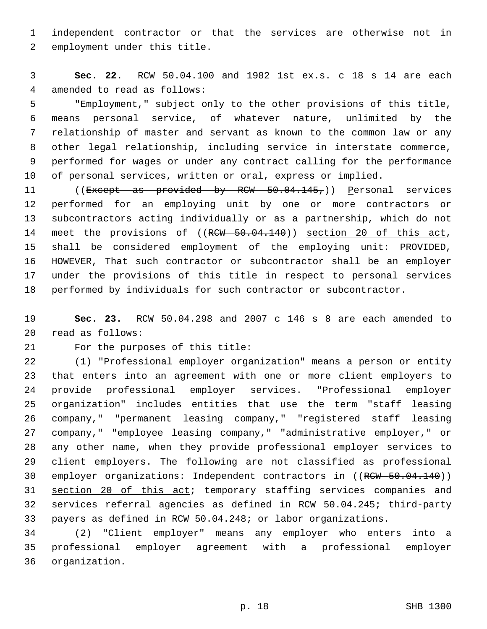independent contractor or that the services are otherwise not in 2 employment under this title.

 **Sec. 22.** RCW 50.04.100 and 1982 1st ex.s. c 18 s 14 are each 4 amended to read as follows:

 "Employment," subject only to the other provisions of this title, means personal service, of whatever nature, unlimited by the relationship of master and servant as known to the common law or any other legal relationship, including service in interstate commerce, performed for wages or under any contract calling for the performance of personal services, written or oral, express or implied.

11 ((Except as provided by RCW 50.04.145,)) Personal services performed for an employing unit by one or more contractors or subcontractors acting individually or as a partnership, which do not 14 meet the provisions of ((RCW 50.04.140)) section 20 of this act, shall be considered employment of the employing unit: PROVIDED, HOWEVER, That such contractor or subcontractor shall be an employer under the provisions of this title in respect to personal services performed by individuals for such contractor or subcontractor.

 **Sec. 23.** RCW 50.04.298 and 2007 c 146 s 8 are each amended to read as follows:20

21 For the purposes of this title:

 (1) "Professional employer organization" means a person or entity that enters into an agreement with one or more client employers to provide professional employer services. "Professional employer organization" includes entities that use the term "staff leasing company," "permanent leasing company," "registered staff leasing company," "employee leasing company," "administrative employer," or any other name, when they provide professional employer services to client employers. The following are not classified as professional 30 employer organizations: Independent contractors in ((RCW 50.04.140)) section 20 of this act; temporary staffing services companies and services referral agencies as defined in RCW 50.04.245; third-party payers as defined in RCW 50.04.248; or labor organizations.

 (2) "Client employer" means any employer who enters into a professional employer agreement with a professional employer organization.36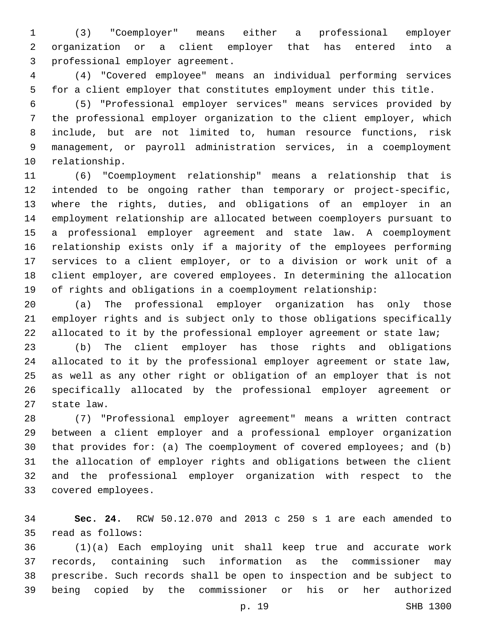(3) "Coemployer" means either a professional employer organization or a client employer that has entered into a 3 professional employer agreement.

 (4) "Covered employee" means an individual performing services for a client employer that constitutes employment under this title.

 (5) "Professional employer services" means services provided by the professional employer organization to the client employer, which include, but are not limited to, human resource functions, risk management, or payroll administration services, in a coemployment 10 relationship.

 (6) "Coemployment relationship" means a relationship that is intended to be ongoing rather than temporary or project-specific, where the rights, duties, and obligations of an employer in an employment relationship are allocated between coemployers pursuant to a professional employer agreement and state law. A coemployment relationship exists only if a majority of the employees performing services to a client employer, or to a division or work unit of a client employer, are covered employees. In determining the allocation of rights and obligations in a coemployment relationship:

 (a) The professional employer organization has only those employer rights and is subject only to those obligations specifically 22 allocated to it by the professional employer agreement or state law;

 (b) The client employer has those rights and obligations allocated to it by the professional employer agreement or state law, as well as any other right or obligation of an employer that is not specifically allocated by the professional employer agreement or 27 state law.

 (7) "Professional employer agreement" means a written contract between a client employer and a professional employer organization that provides for: (a) The coemployment of covered employees; and (b) the allocation of employer rights and obligations between the client and the professional employer organization with respect to the 33 covered employees.

 **Sec. 24.** RCW 50.12.070 and 2013 c 250 s 1 are each amended to 35 read as follows:

 (1)(a) Each employing unit shall keep true and accurate work records, containing such information as the commissioner may prescribe. Such records shall be open to inspection and be subject to being copied by the commissioner or his or her authorized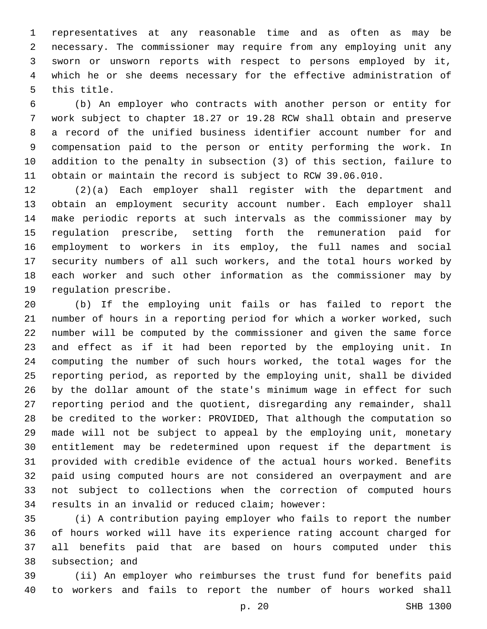representatives at any reasonable time and as often as may be necessary. The commissioner may require from any employing unit any sworn or unsworn reports with respect to persons employed by it, which he or she deems necessary for the effective administration of 5 this title.

 (b) An employer who contracts with another person or entity for work subject to chapter 18.27 or 19.28 RCW shall obtain and preserve a record of the unified business identifier account number for and compensation paid to the person or entity performing the work. In addition to the penalty in subsection (3) of this section, failure to obtain or maintain the record is subject to RCW 39.06.010.

 (2)(a) Each employer shall register with the department and obtain an employment security account number. Each employer shall make periodic reports at such intervals as the commissioner may by regulation prescribe, setting forth the remuneration paid for employment to workers in its employ, the full names and social security numbers of all such workers, and the total hours worked by each worker and such other information as the commissioner may by 19 regulation prescribe.

 (b) If the employing unit fails or has failed to report the number of hours in a reporting period for which a worker worked, such number will be computed by the commissioner and given the same force and effect as if it had been reported by the employing unit. In computing the number of such hours worked, the total wages for the reporting period, as reported by the employing unit, shall be divided by the dollar amount of the state's minimum wage in effect for such reporting period and the quotient, disregarding any remainder, shall be credited to the worker: PROVIDED, That although the computation so made will not be subject to appeal by the employing unit, monetary entitlement may be redetermined upon request if the department is provided with credible evidence of the actual hours worked. Benefits paid using computed hours are not considered an overpayment and are not subject to collections when the correction of computed hours 34 results in an invalid or reduced claim; however:

 (i) A contribution paying employer who fails to report the number of hours worked will have its experience rating account charged for all benefits paid that are based on hours computed under this 38 subsection; and

 (ii) An employer who reimburses the trust fund for benefits paid to workers and fails to report the number of hours worked shall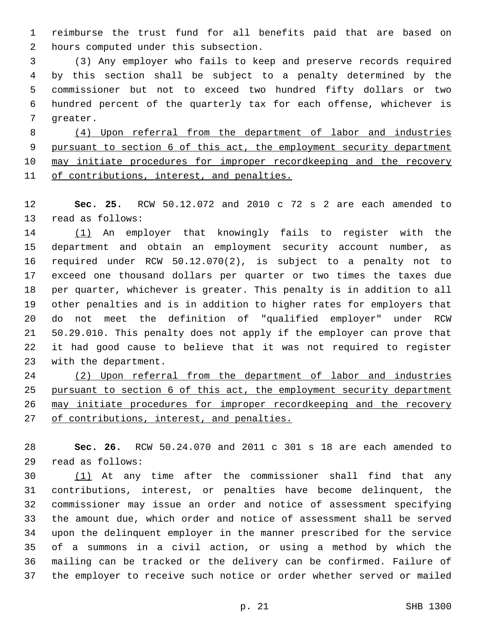reimburse the trust fund for all benefits paid that are based on hours computed under this subsection.2

 (3) Any employer who fails to keep and preserve records required by this section shall be subject to a penalty determined by the commissioner but not to exceed two hundred fifty dollars or two hundred percent of the quarterly tax for each offense, whichever is 7 greater.

 (4) Upon referral from the department of labor and industries pursuant to section 6 of this act, the employment security department 10 may initiate procedures for improper recordkeeping and the recovery 11 of contributions, interest, and penalties.

 **Sec. 25.** RCW 50.12.072 and 2010 c 72 s 2 are each amended to 13 read as follows:

14 (1) An employer that knowingly fails to register with the department and obtain an employment security account number, as required under RCW 50.12.070(2), is subject to a penalty not to exceed one thousand dollars per quarter or two times the taxes due per quarter, whichever is greater. This penalty is in addition to all other penalties and is in addition to higher rates for employers that do not meet the definition of "qualified employer" under RCW 50.29.010. This penalty does not apply if the employer can prove that it had good cause to believe that it was not required to register 23 with the department.

 (2) Upon referral from the department of labor and industries pursuant to section 6 of this act, the employment security department may initiate procedures for improper recordkeeping and the recovery 27 of contributions, interest, and penalties.

 **Sec. 26.** RCW 50.24.070 and 2011 c 301 s 18 are each amended to read as follows:29

30 (1) At any time after the commissioner shall find that any contributions, interest, or penalties have become delinquent, the commissioner may issue an order and notice of assessment specifying the amount due, which order and notice of assessment shall be served upon the delinquent employer in the manner prescribed for the service of a summons in a civil action, or using a method by which the mailing can be tracked or the delivery can be confirmed. Failure of the employer to receive such notice or order whether served or mailed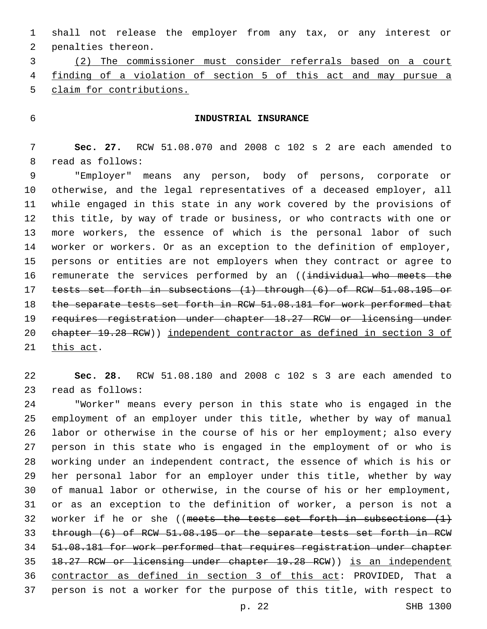shall not release the employer from any tax, or any interest or 2 penalties thereon.

 (2) The commissioner must consider referrals based on a court finding of a violation of section 5 of this act and may pursue a claim for contributions.

## **INDUSTRIAL INSURANCE**

 **Sec. 27.** RCW 51.08.070 and 2008 c 102 s 2 are each amended to 8 read as follows:

 "Employer" means any person, body of persons, corporate or otherwise, and the legal representatives of a deceased employer, all while engaged in this state in any work covered by the provisions of this title, by way of trade or business, or who contracts with one or more workers, the essence of which is the personal labor of such worker or workers. Or as an exception to the definition of employer, persons or entities are not employers when they contract or agree to 16 remunerate the services performed by an ((individual who meets the tests set forth in subsections (1) through (6) of RCW 51.08.195 or 18 the separate tests set forth in RCW 51.08.181 for work performed that requires registration under chapter 18.27 RCW or licensing under chapter 19.28 RCW)) independent contractor as defined in section 3 of 21 this act.

 **Sec. 28.** RCW 51.08.180 and 2008 c 102 s 3 are each amended to 23 read as follows:

 "Worker" means every person in this state who is engaged in the employment of an employer under this title, whether by way of manual labor or otherwise in the course of his or her employment; also every person in this state who is engaged in the employment of or who is working under an independent contract, the essence of which is his or her personal labor for an employer under this title, whether by way of manual labor or otherwise, in the course of his or her employment, or as an exception to the definition of worker, a person is not a 32 worker if he or she ((meets the tests set forth in subsections  $(1)$ ) through (6) of RCW 51.08.195 or the separate tests set forth in RCW 51.08.181 for work performed that requires registration under chapter 18.27 RCW or licensing under chapter 19.28 RCW)) is an independent contractor as defined in section 3 of this act: PROVIDED, That a person is not a worker for the purpose of this title, with respect to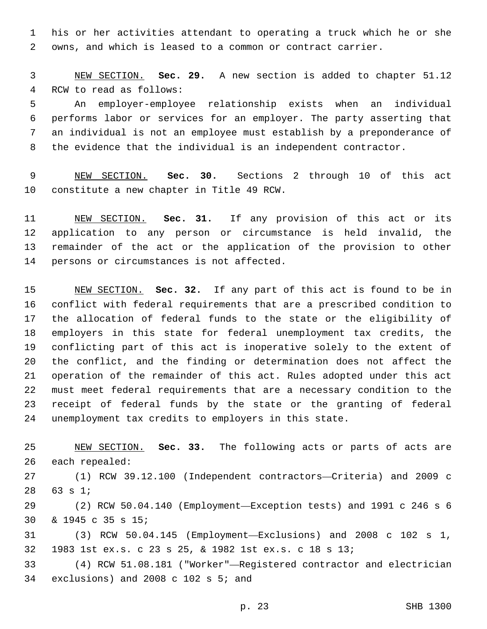his or her activities attendant to operating a truck which he or she owns, and which is leased to a common or contract carrier.

 NEW SECTION. **Sec. 29.** A new section is added to chapter 51.12 4 RCW to read as follows:

 An employer-employee relationship exists when an individual performs labor or services for an employer. The party asserting that an individual is not an employee must establish by a preponderance of the evidence that the individual is an independent contractor.

 NEW SECTION. **Sec. 30.** Sections 2 through 10 of this act constitute a new chapter in Title 49 RCW.

 NEW SECTION. **Sec. 31.** If any provision of this act or its application to any person or circumstance is held invalid, the remainder of the act or the application of the provision to other persons or circumstances is not affected.

 NEW SECTION. **Sec. 32.** If any part of this act is found to be in conflict with federal requirements that are a prescribed condition to the allocation of federal funds to the state or the eligibility of employers in this state for federal unemployment tax credits, the conflicting part of this act is inoperative solely to the extent of the conflict, and the finding or determination does not affect the operation of the remainder of this act. Rules adopted under this act must meet federal requirements that are a necessary condition to the receipt of federal funds by the state or the granting of federal unemployment tax credits to employers in this state.

 NEW SECTION. **Sec. 33.** The following acts or parts of acts are each repealed:

 (1) RCW 39.12.100 (Independent contractors—Criteria) and 2009 c 28 63 s 1;

 (2) RCW 50.04.140 (Employment—Exception tests) and 1991 c 246 s 6 & 1945 c 35 s 15;30

 (3) RCW 50.04.145 (Employment—Exclusions) and 2008 c 102 s 1, 1983 1st ex.s. c 23 s 25, & 1982 1st ex.s. c 18 s 13;

 (4) RCW 51.08.181 ("Worker"—Registered contractor and electrician 34 exclusions) and 2008 c 102 s  $5<sub>i</sub>$  and